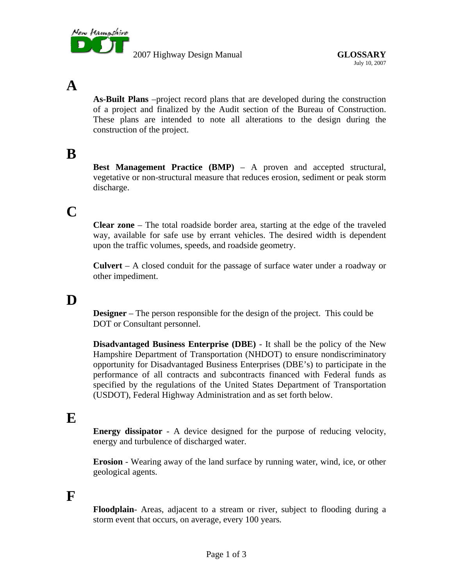

2007 Highway Design Manual **GLOSSARY**

## **A**

**As-Built Plans** –project record plans that are developed during the construction of a project and finalized by the Audit section of the Bureau of Construction. These plans are intended to note all alterations to the design during the construction of the project.

## **B**

**Best Management Practice (BMP)** – A proven and accepted structural, vegetative or non-structural measure that reduces erosion, sediment or peak storm discharge.

## **C**

**Clear zone** – The total roadside border area, starting at the edge of the traveled way, available for safe use by errant vehicles. The desired width is dependent upon the traffic volumes, speeds, and roadside geometry.

**Culvert** *–* A closed conduit for the passage of surface water under a roadway or other impediment.

## **D**

**Designer** – The person responsible for the design of the project. This could be DOT or Consultant personnel.

**Disadvantaged Business Enterprise (DBE)** - It shall be the policy of the New Hampshire Department of Transportation (NHDOT) to ensure nondiscriminatory opportunity for Disadvantaged Business Enterprises (DBE's) to participate in the performance of all contracts and subcontracts financed with Federal funds as specified by the regulations of the United States Department of Transportation (USDOT), Federal Highway Administration and as set forth below.

#### **E**

**Energy dissipator** *-* A device designed for the purpose of reducing velocity, energy and turbulence of discharged water.

**Erosion** *-* Wearing away of the land surface by running water, wind, ice, or other geological agents.

#### **F**

**Floodplain***-* Areas, adjacent to a stream or river, subject to flooding during a storm event that occurs, on average, every 100 years*.*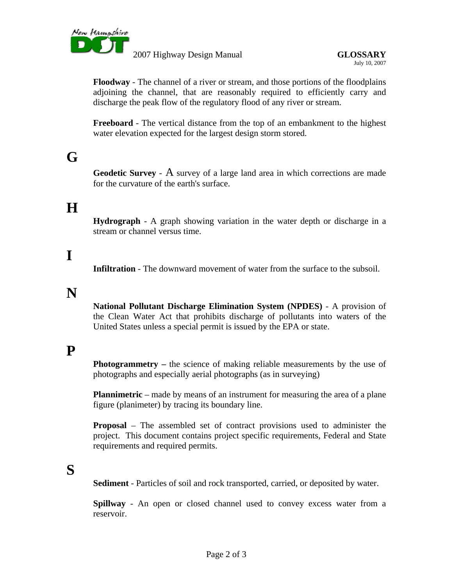

2007 Highway Design Manual **GLOSSARY**

**Floodway** *-* The channel of a river or stream, and those portions of the floodplains adjoining the channel, that are reasonably required to efficiently carry and discharge the peak flow of the regulatory flood of any river or stream.

**Freeboard** *-* The vertical distance from the top of an embankment to the highest water elevation expected for the largest design storm stored.

# **G**

**Geodetic Survey** *-* A survey of a large land area in which corrections are made for the curvature of the earth's surface.

## **H**

**Hydrograph** - A graph showing variation in the water depth or discharge in a stream or channel versus time.

# **I**

**Infiltration** *-* The downward movement of water from the surface to the subsoil.

#### **N**

**National Pollutant Discharge Elimination System (NPDES)** - A provision of the Clean Water Act that prohibits discharge of pollutants into waters of the United States unless a special permit is issued by the EPA or state.

## **P**

**Photogrammetry** – the science of making reliable measurements by the use of photographs and especially aerial photographs (as in surveying)

**Plannimetric** – made by means of an instrument for measuring the area of a plane figure (planimeter) by tracing its boundary line.

**Proposal** – The assembled set of contract provisions used to administer the project. This document contains project specific requirements, Federal and State requirements and required permits.

# **S**

**Sediment** *-* Particles of soil and rock transported, carried, or deposited by water.

**Spillway** *-* An open or closed channel used to convey excess water from a reservoir.